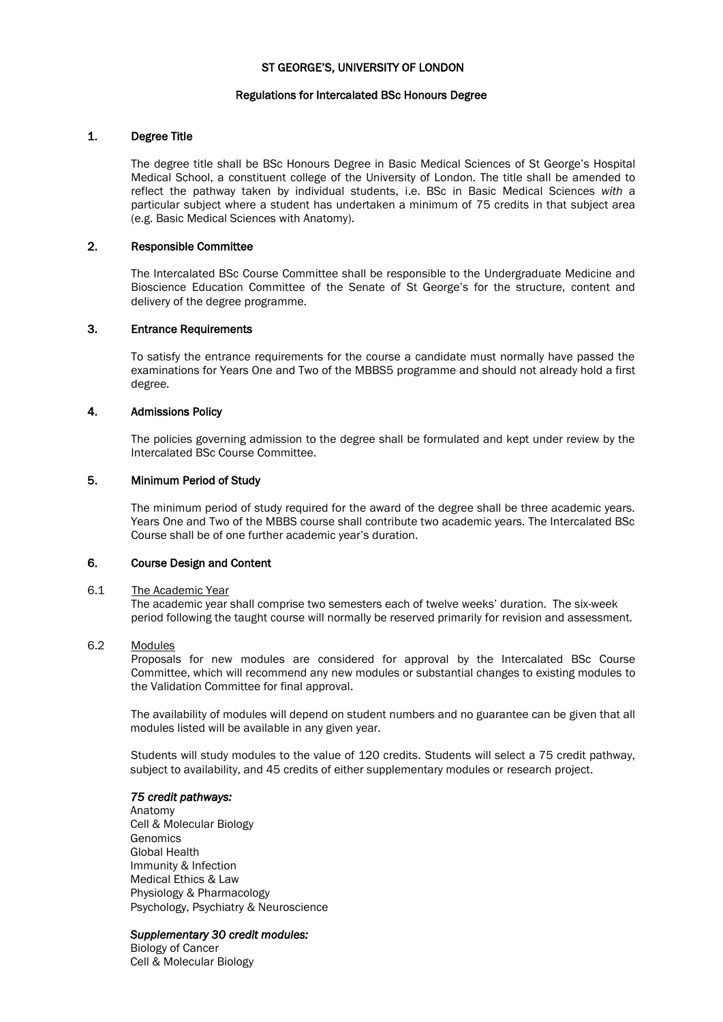## ST GEORGE'S, UNIVERSITY OF LONDON

### Regulations for Intercalated BSc Honours Degree

## 1. Degree Title

The degree title shall be BSc Honours Degree in Basic Medical Sciences of St George's Hospital Medical School, a constituent college of the University of London. The title shall be amended to reflect the pathway taken by individual students, i.e. BSc in Basic Medical Sciences *with* a particular subject where a student has undertaken a minimum of 75 credits in that subject area (e.g. Basic Medical Sciences with Anatomy).

## 2. Responsible Committee

The Intercalated BSc Course Committee shall be responsible to the Undergraduate Medicine and Bioscience Education Committee of the Senate of St George's for the structure, content and delivery of the degree programme.

## 3. Entrance Requirements

To satisfy the entrance requirements for the course a candidate must normally have passed the examinations for Years One and Two of the MBBS5 programme and should not already hold a first degree.

### 4. Admissions Policy

The policies governing admission to the degree shall be formulated and kept under review by the Intercalated BSc Course Committee.

### 5. Minimum Period of Study

The minimum period of study required for the award of the degree shall be three academic years. Years One and Two of the MBBS course shall contribute two academic years. The Intercalated BSc Course shall be of one further academic year's duration.

## 6. Course Design and Content

### 6.1 The Academic Year

The academic year shall comprise two semesters each of twelve weeks' duration. The six-week period following the taught course will normally be reserved primarily for revision and assessment.

### 6.2 Modules

Proposals for new modules are considered for approval by the Intercalated BSc Course Committee, which will recommend any new modules or substantial changes to existing modules to the Validation Committee for final approval.

The availability of modules will depend on student numbers and no guarantee can be given that all modules listed will be available in any given year.

Students will study modules to the value of 120 credits. Students will select a 75 credit pathway, subject to availability, and 45 credits of either supplementary modules or research project.

## *75 credit pathways:*

Anatomy Cell & Molecular Biology **Genomics** Global Health Immunity & Infection Medical Ethics & Law Physiology & Pharmacology Psychology, Psychiatry & Neuroscience

#### *Supplementary 30 credit modules:*

Biology of Cancer Cell & Molecular Biology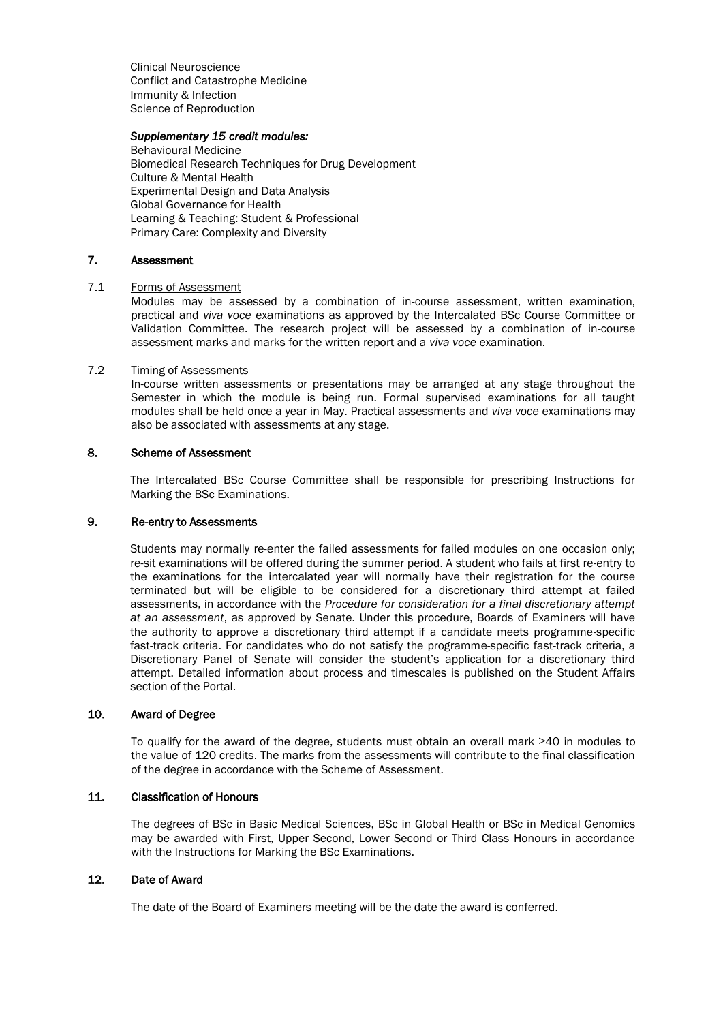Clinical Neuroscience Conflict and Catastrophe Medicine Immunity & Infection Science of Reproduction

### *Supplementary 15 credit modules:*

Behavioural Medicine Biomedical Research Techniques for Drug Development Culture & Mental Health Experimental Design and Data Analysis Global Governance for Health Learning & Teaching: Student & Professional Primary Care: Complexity and Diversity

## 7. Assessment

## 7.1 Forms of Assessment

Modules may be assessed by a combination of in-course assessment, written examination, practical and *viva voce* examinations as approved by the Intercalated BSc Course Committee or Validation Committee. The research project will be assessed by a combination of in-course assessment marks and marks for the written report and a *viva voce* examination.

### 7.2 Timing of Assessments

In-course written assessments or presentations may be arranged at any stage throughout the Semester in which the module is being run. Formal supervised examinations for all taught modules shall be held once a year in May. Practical assessments and *viva voce* examinations may also be associated with assessments at any stage.

### 8. Scheme of Assessment

The Intercalated BSc Course Committee shall be responsible for prescribing Instructions for Marking the BSc Examinations.

#### 9. Re-entry to Assessments

Students may normally re-enter the failed assessments for failed modules on one occasion only; re-sit examinations will be offered during the summer period. A student who fails at first re-entry to the examinations for the intercalated year will normally have their registration for the course terminated but will be eligible to be considered for a discretionary third attempt at failed assessments, in accordance with the *Procedure for consideration for a final discretionary attempt at an assessment*, as approved by Senate. Under this procedure, Boards of Examiners will have the authority to approve a discretionary third attempt if a candidate meets programme-specific fast-track criteria. For candidates who do not satisfy the programme-specific fast-track criteria, a Discretionary Panel of Senate will consider the student's application for a discretionary third attempt. Detailed information about process and timescales is published on the Student Affairs section of the Portal.

## 10. Award of Degree

To qualify for the award of the degree, students must obtain an overall mark ≥40 in modules to the value of 120 credits. The marks from the assessments will contribute to the final classification of the degree in accordance with the Scheme of Assessment.

# 11. Classification of Honours

The degrees of BSc in Basic Medical Sciences, BSc in Global Health or BSc in Medical Genomics may be awarded with First, Upper Second, Lower Second or Third Class Honours in accordance with the Instructions for Marking the BSc Examinations.

## 12. Date of Award

The date of the Board of Examiners meeting will be the date the award is conferred.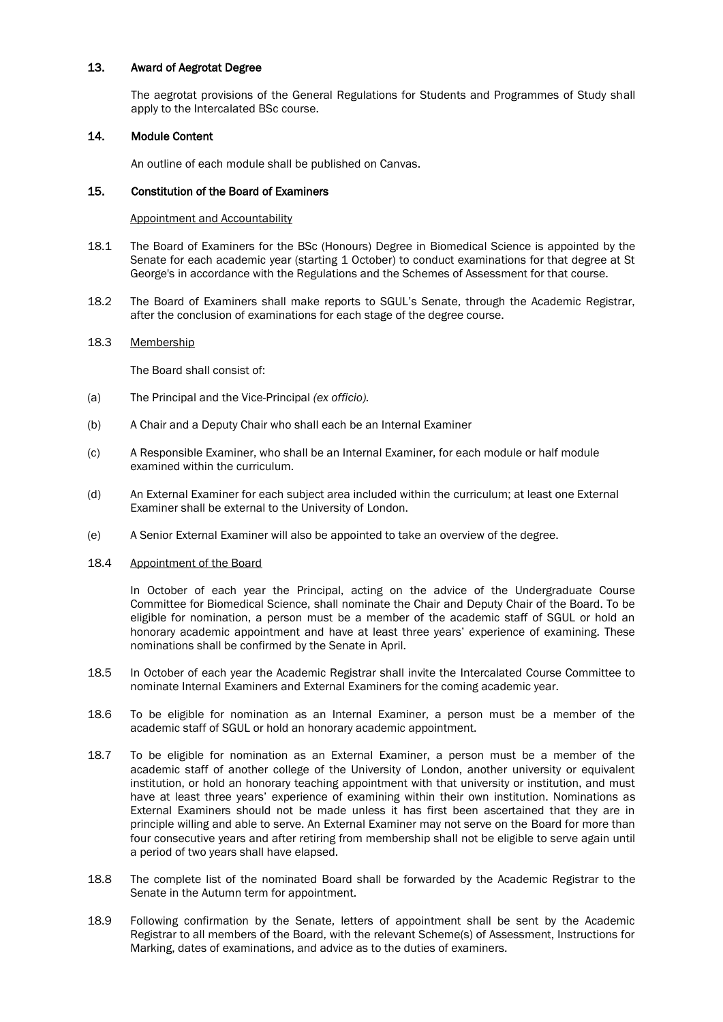## 13. Award of Aegrotat Degree

The aegrotat provisions of the General Regulations for Students and Programmes of Study shall apply to the Intercalated BSc course.

## 14. Module Content

An outline of each module shall be published on Canvas.

### 15. Constitution of the Board of Examiners

### Appointment and Accountability

- 18.1 The Board of Examiners for the BSc (Honours) Degree in Biomedical Science is appointed by the Senate for each academic year (starting 1 October) to conduct examinations for that degree at St George's in accordance with the Regulations and the Schemes of Assessment for that course.
- 18.2 The Board of Examiners shall make reports to SGUL's Senate, through the Academic Registrar, after the conclusion of examinations for each stage of the degree course.

### 18.3 Membership

The Board shall consist of:

- (a) The Principal and the Vice-Principal *(ex officio).*
- (b) A Chair and a Deputy Chair who shall each be an Internal Examiner
- (c) A Responsible Examiner, who shall be an Internal Examiner, for each module or half module examined within the curriculum.
- (d) An External Examiner for each subject area included within the curriculum; at least one External Examiner shall be external to the University of London.
- (e) A Senior External Examiner will also be appointed to take an overview of the degree.

### 18.4 Appointment of the Board

In October of each year the Principal, acting on the advice of the Undergraduate Course Committee for Biomedical Science, shall nominate the Chair and Deputy Chair of the Board. To be eligible for nomination, a person must be a member of the academic staff of SGUL or hold an honorary academic appointment and have at least three years' experience of examining. These nominations shall be confirmed by the Senate in April.

- 18.5 In October of each year the Academic Registrar shall invite the Intercalated Course Committee to nominate Internal Examiners and External Examiners for the coming academic year.
- 18.6 To be eligible for nomination as an Internal Examiner, a person must be a member of the academic staff of SGUL or hold an honorary academic appointment.
- 18.7 To be eligible for nomination as an External Examiner, a person must be a member of the academic staff of another college of the University of London, another university or equivalent institution, or hold an honorary teaching appointment with that university or institution, and must have at least three years' experience of examining within their own institution. Nominations as External Examiners should not be made unless it has first been ascertained that they are in principle willing and able to serve. An External Examiner may not serve on the Board for more than four consecutive years and after retiring from membership shall not be eligible to serve again until a period of two years shall have elapsed.
- 18.8 The complete list of the nominated Board shall be forwarded by the Academic Registrar to the Senate in the Autumn term for appointment.
- 18.9 Following confirmation by the Senate, letters of appointment shall be sent by the Academic Registrar to all members of the Board, with the relevant Scheme(s) of Assessment, Instructions for Marking, dates of examinations, and advice as to the duties of examiners.